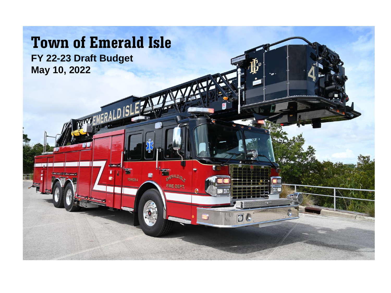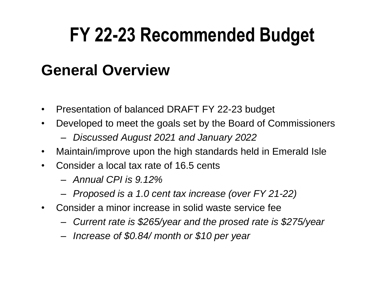#### **General Overview**

- Presentation of balanced DRAFT FY 22-23 budget
- Developed to meet the goals set by the Board of Commissioners
	- *Discussed August 2021 and January 2022*
- Maintain/improve upon the high standards held in Emerald Isle
- Consider a local tax rate of 16.5 cents
	- *Annual CPI is 9.12%*
	- *Proposed is a 1.0 cent tax increase (over FY 21-22)*
- Consider a minor increase in solid waste service fee
	- *Current rate is \$265/year and the prosed rate is \$275/year*
	- *Increase of \$0.84/ month or \$10 per year*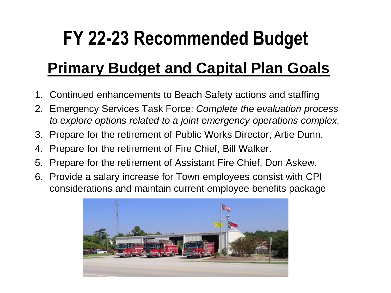#### **Primary Budget and Capital Plan Goals**

- 1. Continued enhancements to Beach Safety actions and staffing
- 2. Emergency Services Task Force: *Complete the evaluation process to explore options related to a joint emergency operations complex.*
- 3. Prepare for the retirement of Public Works Director, Artie Dunn.
- 4. Prepare for the retirement of Fire Chief, Bill Walker.
- 5. Prepare for the retirement of Assistant Fire Chief, Don Askew.
- 6. Provide a salary increase for Town employees consist with CPI considerations and maintain current employee benefits package

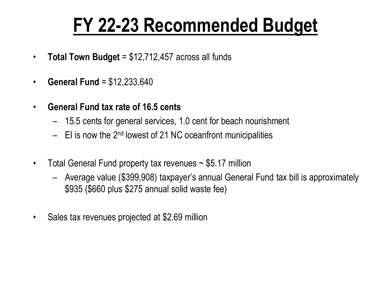- **Total Town Budget** = \$12,712,457 across all funds
- **General Fund** = \$12,233,640
- **General Fund tax rate of 16.5 cents**
	- 15.5 cents for general services, 1.0 cent for beach nourishment
	- $-$  EI is now the 2<sup>nd</sup> lowest of 21 NC oceanfront municipalities
- Total General Fund property tax revenues ~ \$5.17 million
	- Average value (\$399,908) taxpayer's annual General Fund tax bill is approximately \$935 (\$660 plus \$275 annual solid waste fee)
- Sales tax revenues projected at \$2.69 million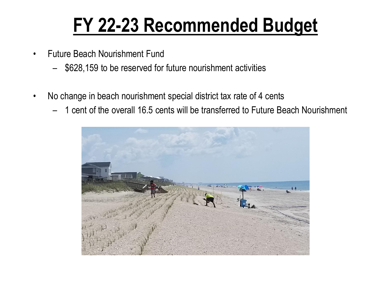- Future Beach Nourishment Fund
	- \$628,159 to be reserved for future nourishment activities
- No change in beach nourishment special district tax rate of 4 cents
	- 1 cent of the overall 16.5 cents will be transferred to Future Beach Nourishment

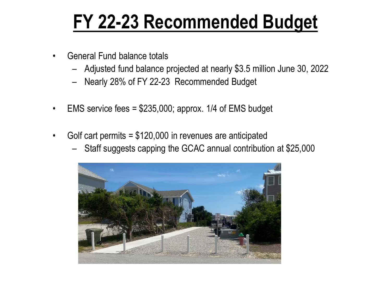- General Fund balance totals
	- Adjusted fund balance projected at nearly \$3.5 million June 30, 2022
	- Nearly 28% of FY 22-23 Recommended Budget
- EMS service fees  $= $235,000$ ; approx. 1/4 of EMS budget
- Golf cart permits = \$120,000 in revenues are anticipated
	- Staff suggests capping the GCAC annual contribution at \$25,000

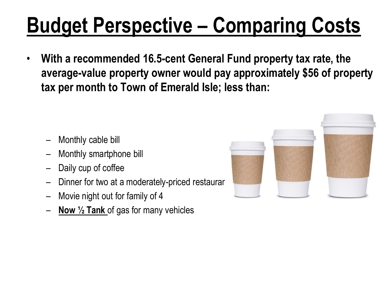# **Budget Perspective – Comparing Costs**

• **With a recommended 16.5-cent General Fund property tax rate, the average-value property owner would pay approximately \$56 of property tax per month to Town of Emerald Isle; less than:**

- Monthly cable bill
- Monthly smartphone bill
- Daily cup of coffee
- Dinner for two at a moderately-priced restaurar
- Movie night out for family of 4
- **Now ½ Tank** of gas for many vehicles

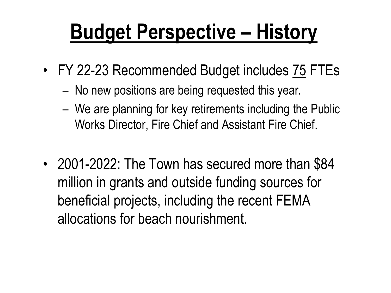## **Budget Perspective – History**

- FY 22-23 Recommended Budget includes 75 FTEs
	- No new positions are being requested this year.
	- We are planning for key retirements including the Public Works Director, Fire Chief and Assistant Fire Chief.
- 2001-2022: The Town has secured more than \$84 million in grants and outside funding sources for beneficial projects, including the recent FEMA allocations for beach nourishment.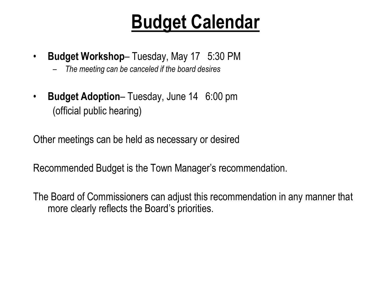#### **Budget Calendar**

- **Budget Workshop** Tuesday, May 17 5:30 PM
	- *The meeting can be canceled if the board desires*
- **Budget Adoption** Tuesday, June 14 6:00 pm (official public hearing)

Other meetings can be held as necessary or desired

Recommended Budget is the Town Manager's recommendation.

The Board of Commissioners can adjust this recommendation in any manner that more clearly reflects the Board's priorities.